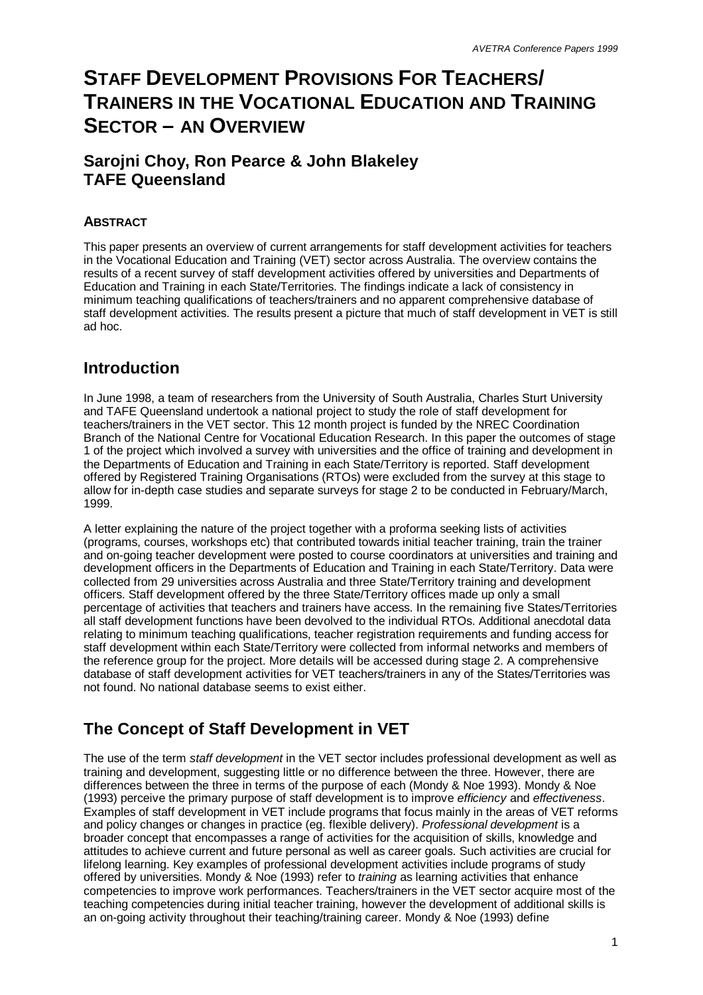# **STAFF DEVELOPMENT PROVISIONS FOR TEACHERS/ TRAINERS IN THE VOCATIONAL EDUCATION AND TRAINING SECTOR – AN OVERVIEW**

### **Sarojni Choy, Ron Pearce & John Blakeley TAFE Queensland**

### **ABSTRACT**

This paper presents an overview of current arrangements for staff development activities for teachers in the Vocational Education and Training (VET) sector across Australia. The overview contains the results of a recent survey of staff development activities offered by universities and Departments of Education and Training in each State/Territories. The findings indicate a lack of consistency in minimum teaching qualifications of teachers/trainers and no apparent comprehensive database of staff development activities. The results present a picture that much of staff development in VET is still ad hoc.

### **Introduction**

In June 1998, a team of researchers from the University of South Australia, Charles Sturt University and TAFE Queensland undertook a national project to study the role of staff development for teachers/trainers in the VET sector. This 12 month project is funded by the NREC Coordination Branch of the National Centre for Vocational Education Research. In this paper the outcomes of stage 1 of the project which involved a survey with universities and the office of training and development in the Departments of Education and Training in each State/Territory is reported. Staff development offered by Registered Training Organisations (RTOs) were excluded from the survey at this stage to allow for in-depth case studies and separate surveys for stage 2 to be conducted in February/March, 1999.

A letter explaining the nature of the project together with a proforma seeking lists of activities (programs, courses, workshops etc) that contributed towards initial teacher training, train the trainer and on-going teacher development were posted to course coordinators at universities and training and development officers in the Departments of Education and Training in each State/Territory. Data were collected from 29 universities across Australia and three State/Territory training and development officers. Staff development offered by the three State/Territory offices made up only a small percentage of activities that teachers and trainers have access. In the remaining five States/Territories all staff development functions have been devolved to the individual RTOs. Additional anecdotal data relating to minimum teaching qualifications, teacher registration requirements and funding access for staff development within each State/Territory were collected from informal networks and members of the reference group for the project. More details will be accessed during stage 2. A comprehensive database of staff development activities for VET teachers/trainers in any of the States/Territories was not found. No national database seems to exist either.

## **The Concept of Staff Development in VET**

The use of the term *staff development* in the VET sector includes professional development as well as training and development, suggesting little or no difference between the three. However, there are differences between the three in terms of the purpose of each (Mondy & Noe 1993). Mondy & Noe (1993) perceive the primary purpose of staff development is to improve *efficiency* and *effectiveness*. Examples of staff development in VET include programs that focus mainly in the areas of VET reforms and policy changes or changes in practice (eg. flexible delivery). *Professional development* is a broader concept that encompasses a range of activities for the acquisition of skills, knowledge and attitudes to achieve current and future personal as well as career goals. Such activities are crucial for lifelong learning. Key examples of professional development activities include programs of study offered by universities. Mondy & Noe (1993) refer to *training* as learning activities that enhance competencies to improve work performances. Teachers/trainers in the VET sector acquire most of the teaching competencies during initial teacher training, however the development of additional skills is an on-going activity throughout their teaching/training career. Mondy & Noe (1993) define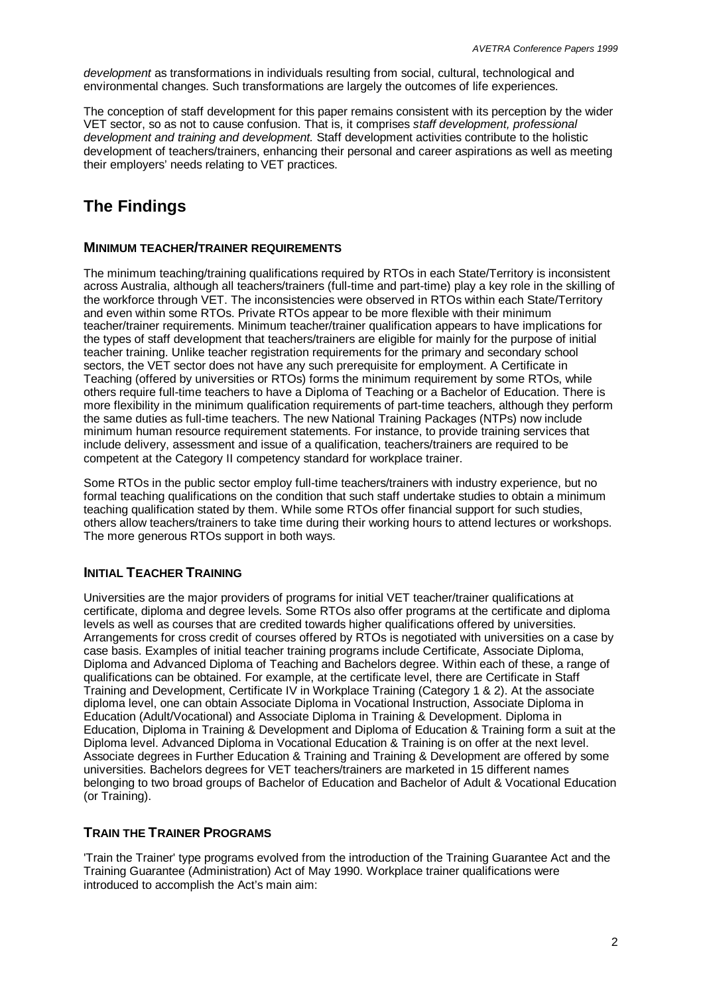*development* as transformations in individuals resulting from social, cultural, technological and environmental changes. Such transformations are largely the outcomes of life experiences.

The conception of staff development for this paper remains consistent with its perception by the wider VET sector, so as not to cause confusion. That is, it comprises *staff development, professional development and training and development.* Staff development activities contribute to the holistic development of teachers/trainers, enhancing their personal and career aspirations as well as meeting their employers' needs relating to VET practices.

## **The Findings**

#### **MINIMUM TEACHER/TRAINER REQUIREMENTS**

The minimum teaching/training qualifications required by RTOs in each State/Territory is inconsistent across Australia, although all teachers/trainers (full-time and part-time) play a key role in the skilling of the workforce through VET. The inconsistencies were observed in RTOs within each State/Territory and even within some RTOs. Private RTOs appear to be more flexible with their minimum teacher/trainer requirements. Minimum teacher/trainer qualification appears to have implications for the types of staff development that teachers/trainers are eligible for mainly for the purpose of initial teacher training. Unlike teacher registration requirements for the primary and secondary school sectors, the VET sector does not have any such prerequisite for employment. A Certificate in Teaching (offered by universities or RTOs) forms the minimum requirement by some RTOs, while others require full-time teachers to have a Diploma of Teaching or a Bachelor of Education. There is more flexibility in the minimum qualification requirements of part-time teachers, although they perform the same duties as full-time teachers. The new National Training Packages (NTPs) now include minimum human resource requirement statements. For instance, to provide training services that include delivery, assessment and issue of a qualification, teachers/trainers are required to be competent at the Category II competency standard for workplace trainer.

Some RTOs in the public sector employ full-time teachers/trainers with industry experience, but no formal teaching qualifications on the condition that such staff undertake studies to obtain a minimum teaching qualification stated by them. While some RTOs offer financial support for such studies, others allow teachers/trainers to take time during their working hours to attend lectures or workshops. The more generous RTOs support in both ways.

### **INITIAL TEACHER TRAINING**

Universities are the major providers of programs for initial VET teacher/trainer qualifications at certificate, diploma and degree levels. Some RTOs also offer programs at the certificate and diploma levels as well as courses that are credited towards higher qualifications offered by universities. Arrangements for cross credit of courses offered by RTOs is negotiated with universities on a case by case basis. Examples of initial teacher training programs include Certificate, Associate Diploma, Diploma and Advanced Diploma of Teaching and Bachelors degree. Within each of these, a range of qualifications can be obtained. For example, at the certificate level, there are Certificate in Staff Training and Development, Certificate IV in Workplace Training (Category 1 & 2). At the associate diploma level, one can obtain Associate Diploma in Vocational Instruction, Associate Diploma in Education (Adult/Vocational) and Associate Diploma in Training & Development. Diploma in Education, Diploma in Training & Development and Diploma of Education & Training form a suit at the Diploma level. Advanced Diploma in Vocational Education & Training is on offer at the next level. Associate degrees in Further Education & Training and Training & Development are offered by some universities. Bachelors degrees for VET teachers/trainers are marketed in 15 different names belonging to two broad groups of Bachelor of Education and Bachelor of Adult & Vocational Education (or Training).

### **TRAIN THE TRAINER PROGRAMS**

'Train the Trainer' type programs evolved from the introduction of the Training Guarantee Act and the Training Guarantee (Administration) Act of May 1990. Workplace trainer qualifications were introduced to accomplish the Act's main aim: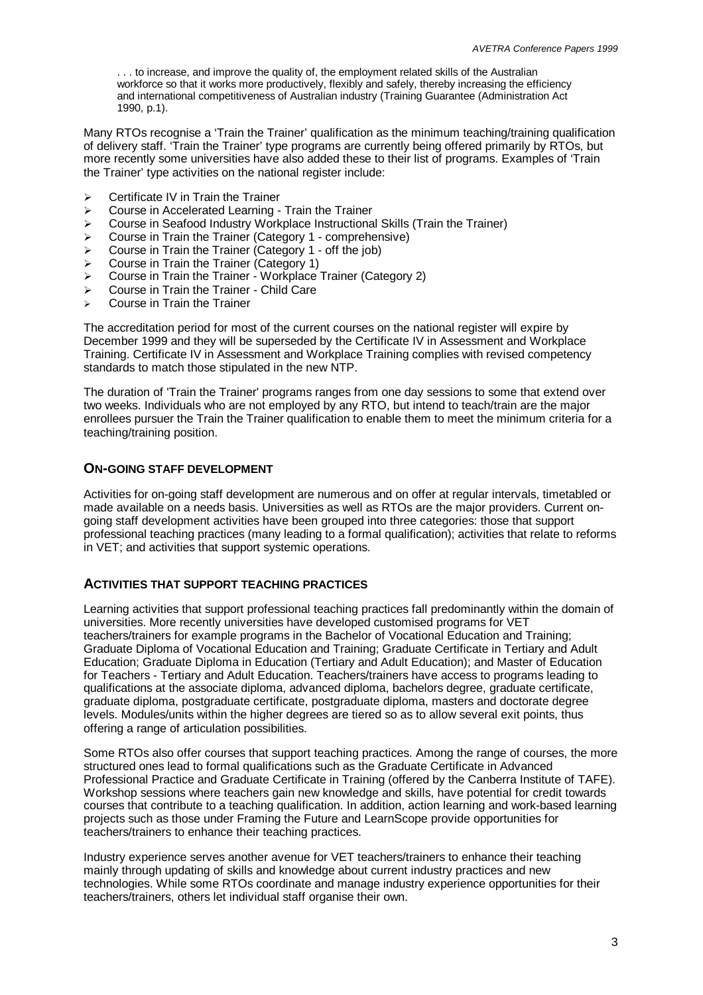. . . to increase, and improve the quality of, the employment related skills of the Australian workforce so that it works more productively, flexibly and safely, thereby increasing the efficiency and international competitiveness of Australian industry (Training Guarantee (Administration Act 1990, p.1).

Many RTOs recognise a 'Train the Trainer' qualification as the minimum teaching/training qualification of delivery staff. 'Train the Trainer' type programs are currently being offered primarily by RTOs, but more recently some universities have also added these to their list of programs. Examples of 'Train the Trainer' type activities on the national register include:

- $\triangleright$  Certificate IV in Train the Trainer
- $\triangleright$  Course in Accelerated Learning Train the Trainer
- ÿ Course in Seafood Industry Workplace Instructional Skills (Train the Trainer)
- $\triangleright$  Course in Train the Trainer (Category 1 comprehensive)
- $\triangleright$  Course in Train the Trainer (Category 1 off the job)
- $\triangleright$  Course in Train the Trainer (Category 1)
- $\triangleright$  Course in Train the Trainer Workplace Trainer (Category 2)
- $\triangleright$  Course in Train the Trainer Child Care
- Course in Train the Trainer

The accreditation period for most of the current courses on the national register will expire by December 1999 and they will be superseded by the Certificate IV in Assessment and Workplace Training. Certificate IV in Assessment and Workplace Training complies with revised competency standards to match those stipulated in the new NTP.

The duration of 'Train the Trainer' programs ranges from one day sessions to some that extend over two weeks. Individuals who are not employed by any RTO, but intend to teach/train are the major enrollees pursuer the Train the Trainer qualification to enable them to meet the minimum criteria for a teaching/training position.

#### **ON-GOING STAFF DEVELOPMENT**

Activities for on-going staff development are numerous and on offer at regular intervals, timetabled or made available on a needs basis. Universities as well as RTOs are the major providers. Current ongoing staff development activities have been grouped into three categories: those that support professional teaching practices (many leading to a formal qualification); activities that relate to reforms in VET; and activities that support systemic operations.

#### **ACTIVITIES THAT SUPPORT TEACHING PRACTICES**

Learning activities that support professional teaching practices fall predominantly within the domain of universities. More recently universities have developed customised programs for VET teachers/trainers for example programs in the Bachelor of Vocational Education and Training; Graduate Diploma of Vocational Education and Training; Graduate Certificate in Tertiary and Adult Education; Graduate Diploma in Education (Tertiary and Adult Education); and Master of Education for Teachers - Tertiary and Adult Education. Teachers/trainers have access to programs leading to qualifications at the associate diploma, advanced diploma, bachelors degree, graduate certificate, graduate diploma, postgraduate certificate, postgraduate diploma, masters and doctorate degree levels. Modules/units within the higher degrees are tiered so as to allow several exit points, thus offering a range of articulation possibilities.

Some RTOs also offer courses that support teaching practices. Among the range of courses, the more structured ones lead to formal qualifications such as the Graduate Certificate in Advanced Professional Practice and Graduate Certificate in Training (offered by the Canberra Institute of TAFE). Workshop sessions where teachers gain new knowledge and skills, have potential for credit towards courses that contribute to a teaching qualification. In addition, action learning and work-based learning projects such as those under Framing the Future and LearnScope provide opportunities for teachers/trainers to enhance their teaching practices.

Industry experience serves another avenue for VET teachers/trainers to enhance their teaching mainly through updating of skills and knowledge about current industry practices and new technologies. While some RTOs coordinate and manage industry experience opportunities for their teachers/trainers, others let individual staff organise their own.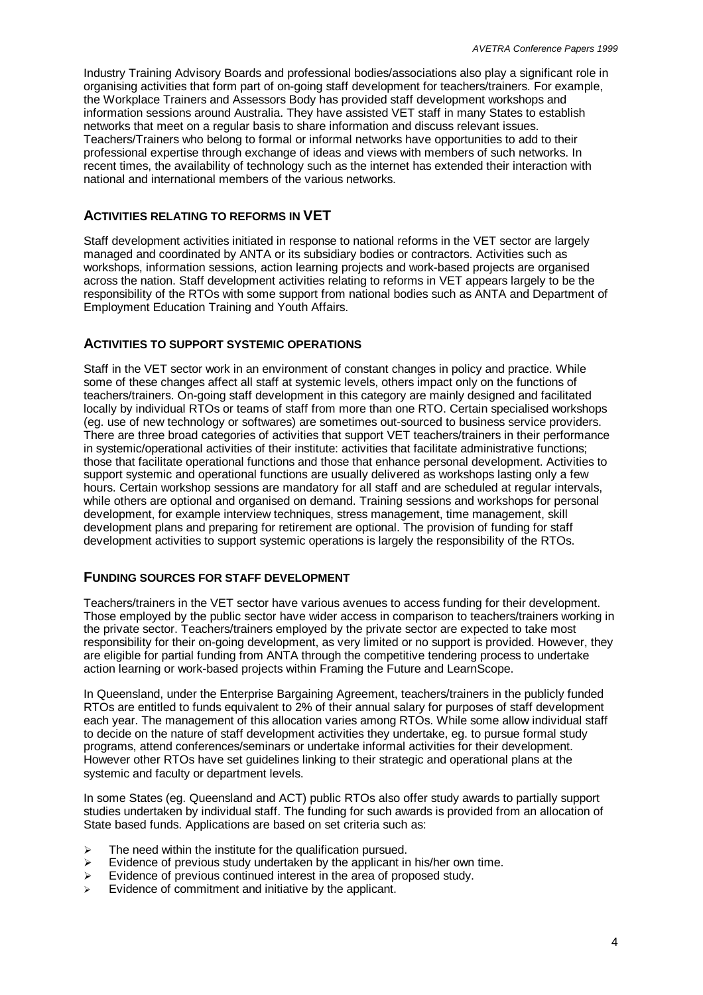Industry Training Advisory Boards and professional bodies/associations also play a significant role in organising activities that form part of on-going staff development for teachers/trainers. For example, the Workplace Trainers and Assessors Body has provided staff development workshops and information sessions around Australia. They have assisted VET staff in many States to establish networks that meet on a regular basis to share information and discuss relevant issues. Teachers/Trainers who belong to formal or informal networks have opportunities to add to their professional expertise through exchange of ideas and views with members of such networks. In recent times, the availability of technology such as the internet has extended their interaction with national and international members of the various networks.

#### **ACTIVITIES RELATING TO REFORMS IN VET**

Staff development activities initiated in response to national reforms in the VET sector are largely managed and coordinated by ANTA or its subsidiary bodies or contractors. Activities such as workshops, information sessions, action learning projects and work-based projects are organised across the nation. Staff development activities relating to reforms in VET appears largely to be the responsibility of the RTOs with some support from national bodies such as ANTA and Department of Employment Education Training and Youth Affairs.

#### **ACTIVITIES TO SUPPORT SYSTEMIC OPERATIONS**

Staff in the VET sector work in an environment of constant changes in policy and practice. While some of these changes affect all staff at systemic levels, others impact only on the functions of teachers/trainers. On-going staff development in this category are mainly designed and facilitated locally by individual RTOs or teams of staff from more than one RTO. Certain specialised workshops (eg. use of new technology or softwares) are sometimes out-sourced to business service providers. There are three broad categories of activities that support VET teachers/trainers in their performance in systemic/operational activities of their institute: activities that facilitate administrative functions; those that facilitate operational functions and those that enhance personal development. Activities to support systemic and operational functions are usually delivered as workshops lasting only a few hours. Certain workshop sessions are mandatory for all staff and are scheduled at regular intervals, while others are optional and organised on demand. Training sessions and workshops for personal development, for example interview techniques, stress management, time management, skill development plans and preparing for retirement are optional. The provision of funding for staff development activities to support systemic operations is largely the responsibility of the RTOs.

#### **FUNDING SOURCES FOR STAFF DEVELOPMENT**

Teachers/trainers in the VET sector have various avenues to access funding for their development. Those employed by the public sector have wider access in comparison to teachers/trainers working in the private sector. Teachers/trainers employed by the private sector are expected to take most responsibility for their on-going development, as very limited or no support is provided. However, they are eligible for partial funding from ANTA through the competitive tendering process to undertake action learning or work-based projects within Framing the Future and LearnScope.

In Queensland, under the Enterprise Bargaining Agreement, teachers/trainers in the publicly funded RTOs are entitled to funds equivalent to 2% of their annual salary for purposes of staff development each year. The management of this allocation varies among RTOs. While some allow individual staff to decide on the nature of staff development activities they undertake, eg. to pursue formal study programs, attend conferences/seminars or undertake informal activities for their development. However other RTOs have set guidelines linking to their strategic and operational plans at the systemic and faculty or department levels.

In some States (eg. Queensland and ACT) public RTOs also offer study awards to partially support studies undertaken by individual staff. The funding for such awards is provided from an allocation of State based funds. Applications are based on set criteria such as:

- $\geq$  The need within the institute for the qualification pursued.
- Evidence of previous study undertaken by the applicant in his/her own time.
- $\triangleright$  Evidence of previous continued interest in the area of proposed study.
- Evidence of commitment and initiative by the applicant.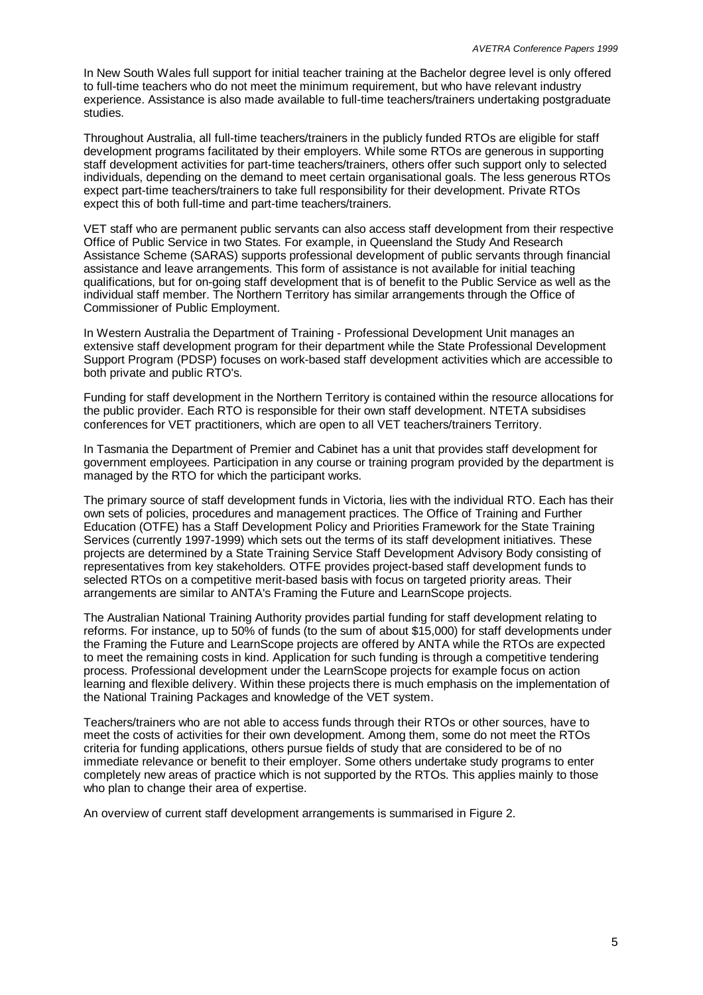In New South Wales full support for initial teacher training at the Bachelor degree level is only offered to full-time teachers who do not meet the minimum requirement, but who have relevant industry experience. Assistance is also made available to full-time teachers/trainers undertaking postgraduate studies.

Throughout Australia, all full-time teachers/trainers in the publicly funded RTOs are eligible for staff development programs facilitated by their employers. While some RTOs are generous in supporting staff development activities for part-time teachers/trainers, others offer such support only to selected individuals, depending on the demand to meet certain organisational goals. The less generous RTOs expect part-time teachers/trainers to take full responsibility for their development. Private RTOs expect this of both full-time and part-time teachers/trainers.

VET staff who are permanent public servants can also access staff development from their respective Office of Public Service in two States. For example, in Queensland the Study And Research Assistance Scheme (SARAS) supports professional development of public servants through financial assistance and leave arrangements. This form of assistance is not available for initial teaching qualifications, but for on-going staff development that is of benefit to the Public Service as well as the individual staff member. The Northern Territory has similar arrangements through the Office of Commissioner of Public Employment.

In Western Australia the Department of Training - Professional Development Unit manages an extensive staff development program for their department while the State Professional Development Support Program (PDSP) focuses on work-based staff development activities which are accessible to both private and public RTO's.

Funding for staff development in the Northern Territory is contained within the resource allocations for the public provider. Each RTO is responsible for their own staff development. NTETA subsidises conferences for VET practitioners, which are open to all VET teachers/trainers Territory.

In Tasmania the Department of Premier and Cabinet has a unit that provides staff development for government employees. Participation in any course or training program provided by the department is managed by the RTO for which the participant works.

The primary source of staff development funds in Victoria, lies with the individual RTO. Each has their own sets of policies, procedures and management practices. The Office of Training and Further Education (OTFE) has a Staff Development Policy and Priorities Framework for the State Training Services (currently 1997-1999) which sets out the terms of its staff development initiatives. These projects are determined by a State Training Service Staff Development Advisory Body consisting of representatives from key stakeholders. OTFE provides project-based staff development funds to selected RTOs on a competitive merit-based basis with focus on targeted priority areas. Their arrangements are similar to ANTA's Framing the Future and LearnScope projects.

The Australian National Training Authority provides partial funding for staff development relating to reforms. For instance, up to 50% of funds (to the sum of about \$15,000) for staff developments under the Framing the Future and LearnScope projects are offered by ANTA while the RTOs are expected to meet the remaining costs in kind. Application for such funding is through a competitive tendering process. Professional development under the LearnScope projects for example focus on action learning and flexible delivery. Within these projects there is much emphasis on the implementation of the National Training Packages and knowledge of the VET system.

Teachers/trainers who are not able to access funds through their RTOs or other sources, have to meet the costs of activities for their own development. Among them, some do not meet the RTOs criteria for funding applications, others pursue fields of study that are considered to be of no immediate relevance or benefit to their employer. Some others undertake study programs to enter completely new areas of practice which is not supported by the RTOs. This applies mainly to those who plan to change their area of expertise.

An overview of current staff development arrangements is summarised in Figure 2.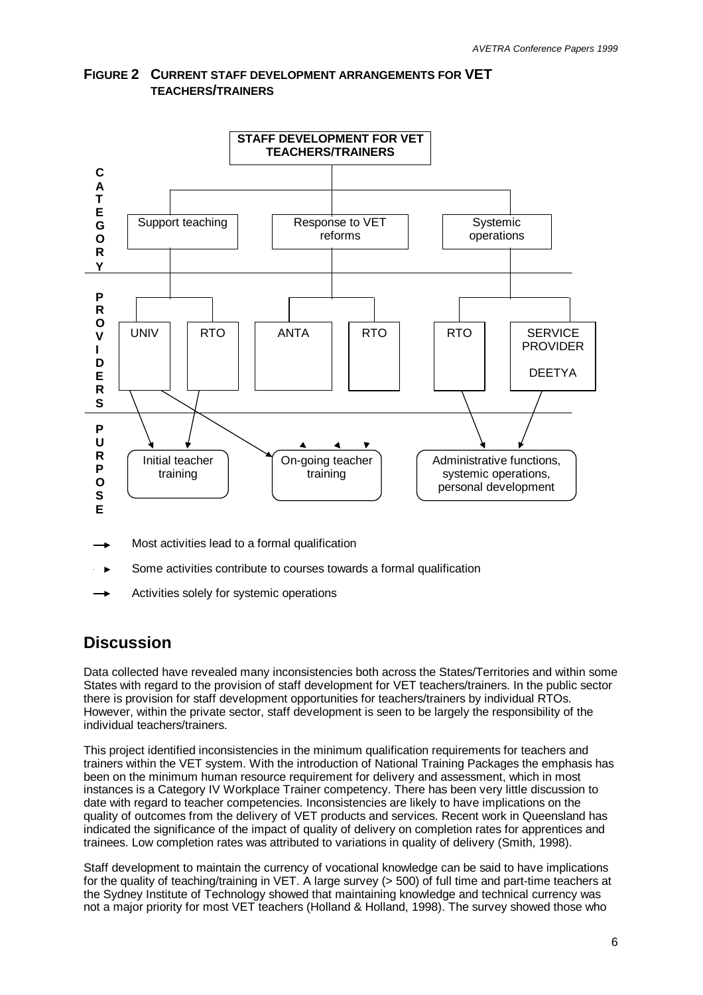

**FIGURE 2 CURRENT STAFF DEVELOPMENT ARRANGEMENTS FOR VET TEACHERS/TRAINERS**

- Most activities lead to a formal qualification
- Some activities contribute to courses towards a formal qualification  $\blacktriangleright$
- Activities solely for systemic operations

## **Discussion**

Data collected have revealed many inconsistencies both across the States/Territories and within some States with regard to the provision of staff development for VET teachers/trainers. In the public sector there is provision for staff development opportunities for teachers/trainers by individual RTOs. However, within the private sector, staff development is seen to be largely the responsibility of the individual teachers/trainers.

This project identified inconsistencies in the minimum qualification requirements for teachers and trainers within the VET system. With the introduction of National Training Packages the emphasis has been on the minimum human resource requirement for delivery and assessment, which in most instances is a Category IV Workplace Trainer competency. There has been very little discussion to date with regard to teacher competencies. Inconsistencies are likely to have implications on the quality of outcomes from the delivery of VET products and services. Recent work in Queensland has indicated the significance of the impact of quality of delivery on completion rates for apprentices and trainees. Low completion rates was attributed to variations in quality of delivery (Smith, 1998).

Staff development to maintain the currency of vocational knowledge can be said to have implications for the quality of teaching/training in VET. A large survey (> 500) of full time and part-time teachers at the Sydney Institute of Technology showed that maintaining knowledge and technical currency was not a major priority for most VET teachers (Holland & Holland, 1998). The survey showed those who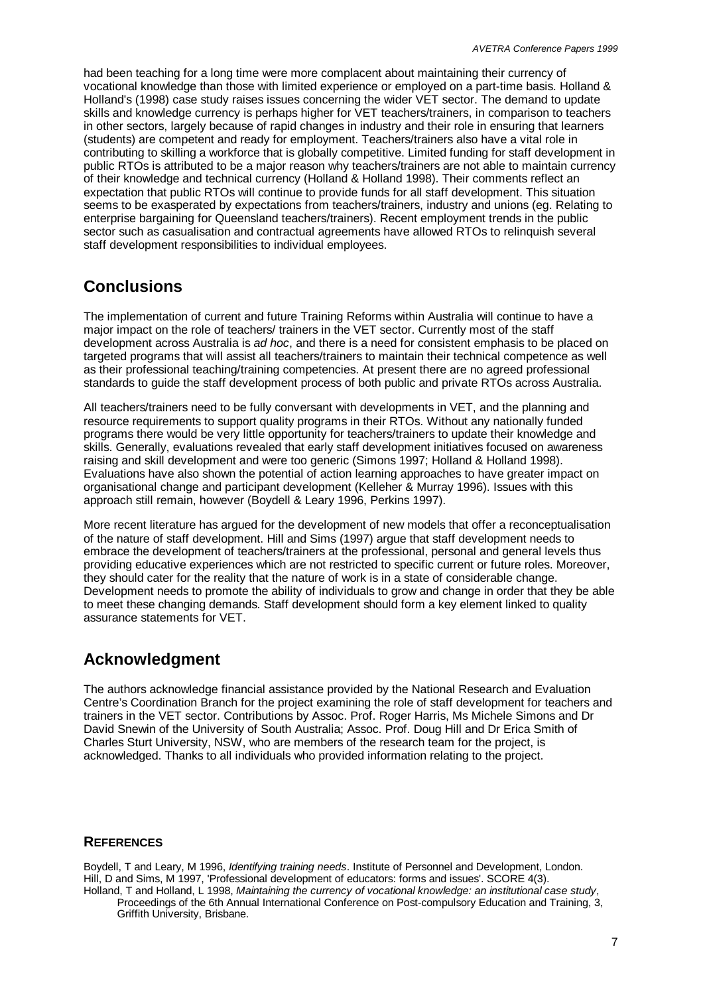had been teaching for a long time were more complacent about maintaining their currency of vocational knowledge than those with limited experience or employed on a part-time basis. Holland & Holland's (1998) case study raises issues concerning the wider VET sector. The demand to update skills and knowledge currency is perhaps higher for VET teachers/trainers, in comparison to teachers in other sectors, largely because of rapid changes in industry and their role in ensuring that learners (students) are competent and ready for employment. Teachers/trainers also have a vital role in contributing to skilling a workforce that is globally competitive. Limited funding for staff development in public RTOs is attributed to be a major reason why teachers/trainers are not able to maintain currency of their knowledge and technical currency (Holland & Holland 1998). Their comments reflect an expectation that public RTOs will continue to provide funds for all staff development. This situation seems to be exasperated by expectations from teachers/trainers, industry and unions (eg. Relating to enterprise bargaining for Queensland teachers/trainers). Recent employment trends in the public sector such as casualisation and contractual agreements have allowed RTOs to relinquish several staff development responsibilities to individual employees.

### **Conclusions**

The implementation of current and future Training Reforms within Australia will continue to have a major impact on the role of teachers/ trainers in the VET sector. Currently most of the staff development across Australia is *ad hoc*, and there is a need for consistent emphasis to be placed on targeted programs that will assist all teachers/trainers to maintain their technical competence as well as their professional teaching/training competencies. At present there are no agreed professional standards to guide the staff development process of both public and private RTOs across Australia.

All teachers/trainers need to be fully conversant with developments in VET, and the planning and resource requirements to support quality programs in their RTOs. Without any nationally funded programs there would be very little opportunity for teachers/trainers to update their knowledge and skills. Generally, evaluations revealed that early staff development initiatives focused on awareness raising and skill development and were too generic (Simons 1997; Holland & Holland 1998). Evaluations have also shown the potential of action learning approaches to have greater impact on organisational change and participant development (Kelleher & Murray 1996). Issues with this approach still remain, however (Boydell & Leary 1996, Perkins 1997).

More recent literature has argued for the development of new models that offer a reconceptualisation of the nature of staff development. Hill and Sims (1997) argue that staff development needs to embrace the development of teachers/trainers at the professional, personal and general levels thus providing educative experiences which are not restricted to specific current or future roles. Moreover, they should cater for the reality that the nature of work is in a state of considerable change. Development needs to promote the ability of individuals to grow and change in order that they be able to meet these changing demands. Staff development should form a key element linked to quality assurance statements for VET.

## **Acknowledgment**

The authors acknowledge financial assistance provided by the National Research and Evaluation Centre's Coordination Branch for the project examining the role of staff development for teachers and trainers in the VET sector. Contributions by Assoc. Prof. Roger Harris, Ms Michele Simons and Dr David Snewin of the University of South Australia; Assoc. Prof. Doug Hill and Dr Erica Smith of Charles Sturt University, NSW, who are members of the research team for the project, is acknowledged. Thanks to all individuals who provided information relating to the project.

### **REFERENCES**

Boydell, T and Leary, M 1996, *Identifying training needs*. Institute of Personnel and Development, London. Hill, D and Sims, M 1997, 'Professional development of educators: forms and issues'. SCORE 4(3). Holland, T and Holland, L 1998, *Maintaining the currency of vocational knowledge: an institutional case study*,

Proceedings of the 6th Annual International Conference on Post-compulsory Education and Training, 3, Griffith University, Brisbane.